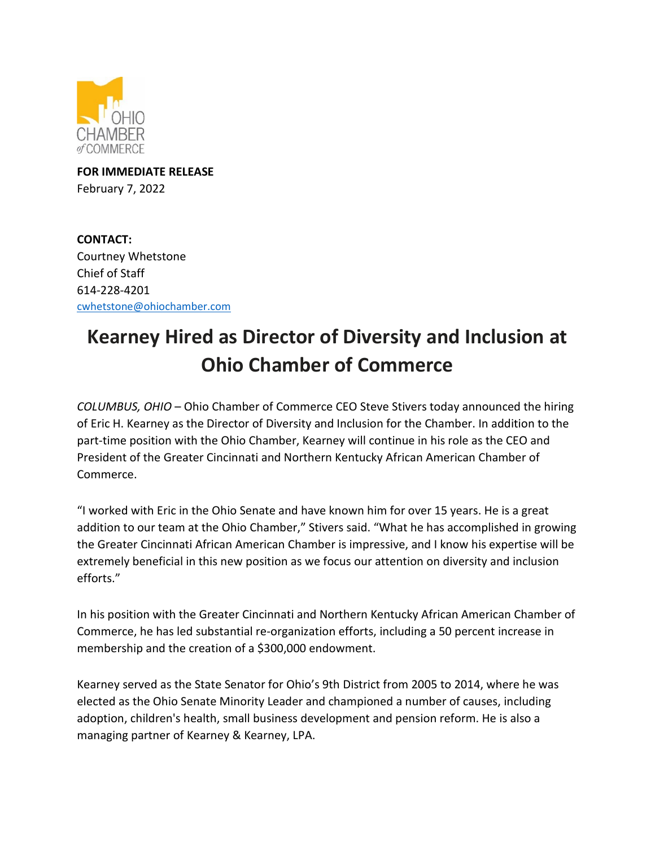

**FOR IMMEDIATE RELEASE** February 7, 2022

**CONTACT:**  Courtney Whetstone Chief of Staff 614-228-4201 [cwhetstone@ohiochamber.com](mailto:cwhetstone@ohiochamber.com)

## **Kearney Hired as Director of Diversity and Inclusion at Ohio Chamber of Commerce**

*COLUMBUS, OHIO* – Ohio Chamber of Commerce CEO Steve Stivers today announced the hiring of Eric H. Kearney as the Director of Diversity and Inclusion for the Chamber. In addition to the part-time position with the Ohio Chamber, Kearney will continue in his role as the CEO and President of the Greater Cincinnati and Northern Kentucky African American Chamber of Commerce.

"I worked with Eric in the Ohio Senate and have known him for over 15 years. He is a great addition to our team at the Ohio Chamber," Stivers said. "What he has accomplished in growing the Greater Cincinnati African American Chamber is impressive, and I know his expertise will be extremely beneficial in this new position as we focus our attention on diversity and inclusion efforts."

In his position with the Greater Cincinnati and Northern Kentucky African American Chamber of Commerce, he has led substantial re-organization efforts, including a 50 percent increase in membership and the creation of a \$300,000 endowment.

Kearney served as the State Senator for Ohio's 9th District from 2005 to 2014, where he was elected as the Ohio Senate Minority Leader and championed a number of causes, including adoption, children's health, small business development and pension reform. He is also a managing partner of Kearney & Kearney, LPA.